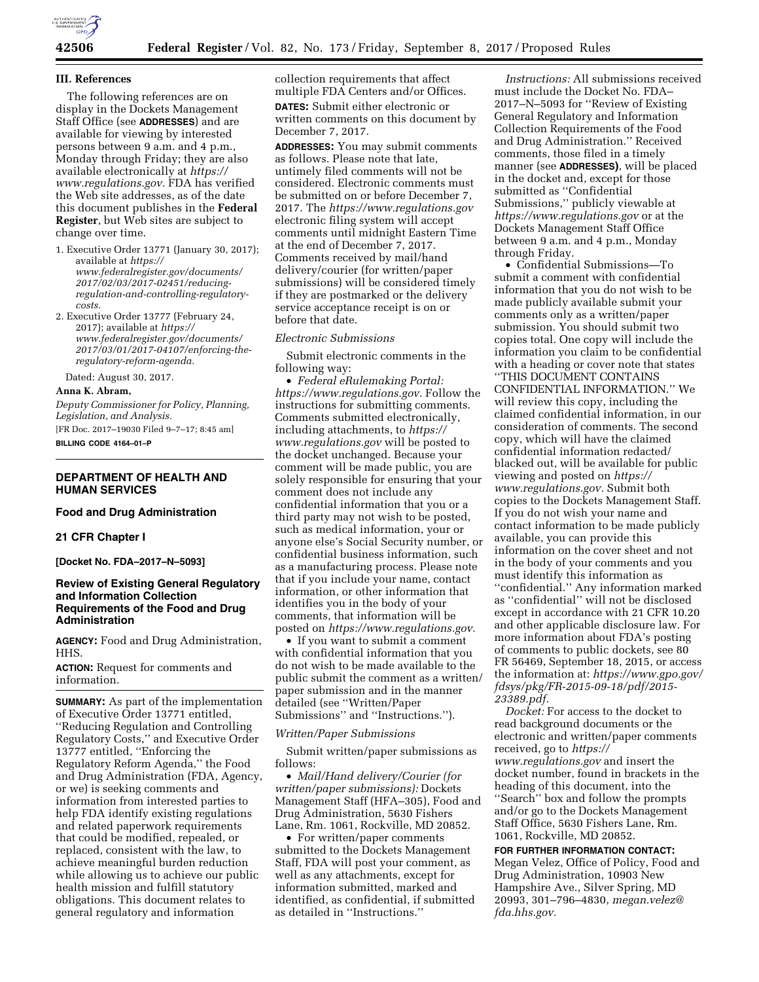

## **III. References**

The following references are on display in the Dockets Management Staff Office (see **ADDRESSES**) and are available for viewing by interested persons between 9 a.m. and 4 p.m., Monday through Friday; they are also available electronically at *[https://](https://www.regulations.gov) [www.regulations.gov.](https://www.regulations.gov)* FDA has verified the Web site addresses, as of the date this document publishes in the **Federal Register**, but Web sites are subject to change over time.

- 1. Executive Order 13771 (January 30, 2017); available at *[https://](https://www.federalregister.gov/documents/2017/02/03/2017-02451/reducing-regulation-and-controlling-regulatory-costs) www.federalregister.gov/documents/ 2017/02/03/2017-02451/reducing[regulation-and-controlling-regulatory](https://www.federalregister.gov/documents/2017/02/03/2017-02451/reducing-regulation-and-controlling-regulatory-costs)[costs.](https://www.federalregister.gov/documents/2017/02/03/2017-02451/reducing-regulation-and-controlling-regulatory-costs)*
- 2. Executive Order 13777 (February 24, 2017); available at *[https://](https://www.federalregister.gov/documents/2017/03/01/2017-04107/enforcing-the-regulatory-reform-agenda) [www.federalregister.gov/documents/](https://www.federalregister.gov/documents/2017/03/01/2017-04107/enforcing-the-regulatory-reform-agenda)  [2017/03/01/2017-04107/enforcing-the](https://www.federalregister.gov/documents/2017/03/01/2017-04107/enforcing-the-regulatory-reform-agenda)[regulatory-reform-agenda.](https://www.federalregister.gov/documents/2017/03/01/2017-04107/enforcing-the-regulatory-reform-agenda)*

Dated: August 30, 2017.

## **Anna K. Abram,**

*Deputy Commissioner for Policy, Planning, Legislation, and Analysis.*  [FR Doc. 2017–19030 Filed 9–7–17; 8:45 am]

**BILLING CODE 4164–01–P** 

# **DEPARTMENT OF HEALTH AND HUMAN SERVICES**

**Food and Drug Administration** 

# **21 CFR Chapter I**

**[Docket No. FDA–2017–N–5093]** 

# **Review of Existing General Regulatory and Information Collection Requirements of the Food and Drug Administration**

**AGENCY:** Food and Drug Administration, HHS.

**ACTION:** Request for comments and information.

**SUMMARY:** As part of the implementation of Executive Order 13771 entitled, ''Reducing Regulation and Controlling Regulatory Costs,'' and Executive Order 13777 entitled, ''Enforcing the Regulatory Reform Agenda,'' the Food and Drug Administration (FDA, Agency, or we) is seeking comments and information from interested parties to help FDA identify existing regulations and related paperwork requirements that could be modified, repealed, or replaced, consistent with the law, to achieve meaningful burden reduction while allowing us to achieve our public health mission and fulfill statutory obligations. This document relates to general regulatory and information

collection requirements that affect multiple FDA Centers and/or Offices. **DATES:** Submit either electronic or written comments on this document by December 7, 2017.

**ADDRESSES:** You may submit comments as follows. Please note that late, untimely filed comments will not be considered. Electronic comments must be submitted on or before December 7, 2017. The *<https://www.regulations.gov>* electronic filing system will accept comments until midnight Eastern Time at the end of December 7, 2017. Comments received by mail/hand delivery/courier (for written/paper submissions) will be considered timely if they are postmarked or the delivery service acceptance receipt is on or before that date.

#### *Electronic Submissions*

Submit electronic comments in the following way:

• *Federal eRulemaking Portal: [https://www.regulations.gov.](https://www.regulations.gov)* Follow the instructions for submitting comments. Comments submitted electronically, including attachments, to *[https://](https://www.regulations.gov) [www.regulations.gov](https://www.regulations.gov)* will be posted to the docket unchanged. Because your comment will be made public, you are solely responsible for ensuring that your comment does not include any confidential information that you or a third party may not wish to be posted, such as medical information, your or anyone else's Social Security number, or confidential business information, such as a manufacturing process. Please note that if you include your name, contact information, or other information that identifies you in the body of your comments, that information will be posted on *[https://www.regulations.gov.](https://www.regulations.gov)* 

• If you want to submit a comment with confidential information that you do not wish to be made available to the public submit the comment as a written/ paper submission and in the manner detailed (see ''Written/Paper Submissions'' and ''Instructions.'').

#### *Written/Paper Submissions*

Submit written/paper submissions as follows:

• *Mail/Hand delivery/Courier (for written/paper submissions):* Dockets Management Staff (HFA–305), Food and Drug Administration, 5630 Fishers Lane, Rm. 1061, Rockville, MD 20852.

• For written/paper comments submitted to the Dockets Management Staff, FDA will post your comment, as well as any attachments, except for information submitted, marked and identified, as confidential, if submitted as detailed in ''Instructions.''

*Instructions:* All submissions received must include the Docket No. FDA– 2017–N–5093 for ''Review of Existing General Regulatory and Information Collection Requirements of the Food and Drug Administration.'' Received comments, those filed in a timely manner (see **ADDRESSES)**, will be placed in the docket and, except for those submitted as ''Confidential Submissions,'' publicly viewable at *<https://www.regulations.gov>* or at the Dockets Management Staff Office between 9 a.m. and 4 p.m., Monday through Friday.

• Confidential Submissions—To submit a comment with confidential information that you do not wish to be made publicly available submit your comments only as a written/paper submission. You should submit two copies total. One copy will include the information you claim to be confidential with a heading or cover note that states ''THIS DOCUMENT CONTAINS CONFIDENTIAL INFORMATION.'' We will review this copy, including the claimed confidential information, in our consideration of comments. The second copy, which will have the claimed confidential information redacted/ blacked out, will be available for public viewing and posted on *[https://](https://www.regulations.gov) [www.regulations.gov.](https://www.regulations.gov)* Submit both copies to the Dockets Management Staff. If you do not wish your name and contact information to be made publicly available, you can provide this information on the cover sheet and not in the body of your comments and you must identify this information as ''confidential.'' Any information marked as ''confidential'' will not be disclosed except in accordance with 21 CFR 10.20 and other applicable disclosure law. For more information about FDA's posting of comments to public dockets, see 80 FR 56469, September 18, 2015, or access the information at: *[https://www.gpo.gov/](https://www.gpo.gov/fdsys/pkg/FR-2015-09-18/pdf/2015-23389.pdf) [fdsys/pkg/FR-2015-09-18/pdf/2015-](https://www.gpo.gov/fdsys/pkg/FR-2015-09-18/pdf/2015-23389.pdf)  [23389.pdf.](https://www.gpo.gov/fdsys/pkg/FR-2015-09-18/pdf/2015-23389.pdf)* 

*Docket:* For access to the docket to read background documents or the electronic and written/paper comments received, go to *[https://](https://www.regulations.gov) [www.regulations.gov](https://www.regulations.gov)* and insert the docket number, found in brackets in the heading of this document, into the ''Search'' box and follow the prompts and/or go to the Dockets Management Staff Office, 5630 Fishers Lane, Rm. 1061, Rockville, MD 20852.

**FOR FURTHER INFORMATION CONTACT:**  Megan Velez, Office of Policy, Food and Drug Administration, 10903 New Hampshire Ave., Silver Spring, MD 20993, 301–796–4830, *[megan.velez@](mailto:megan.velez@fda.hhs.gov) [fda.hhs.gov.](mailto:megan.velez@fda.hhs.gov)*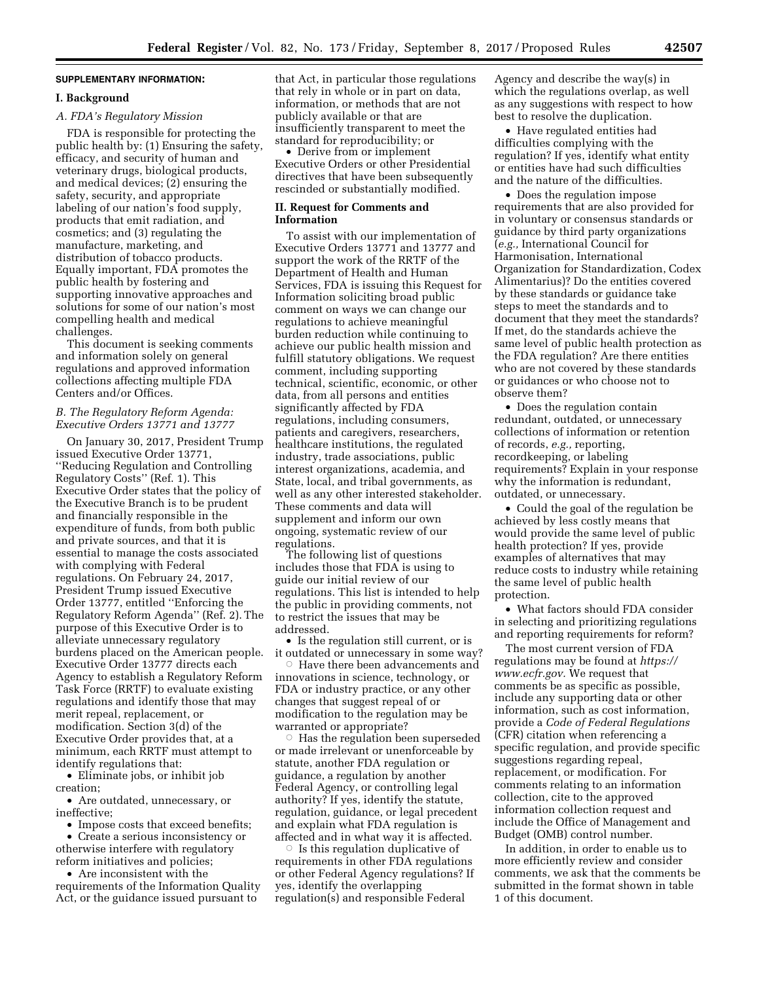### **SUPPLEMENTARY INFORMATION:**

## **I. Background**

# *A. FDA's Regulatory Mission*

FDA is responsible for protecting the public health by: (1) Ensuring the safety, efficacy, and security of human and veterinary drugs, biological products, and medical devices; (2) ensuring the safety, security, and appropriate labeling of our nation's food supply, products that emit radiation, and cosmetics; and (3) regulating the manufacture, marketing, and distribution of tobacco products. Equally important, FDA promotes the public health by fostering and supporting innovative approaches and solutions for some of our nation's most compelling health and medical challenges.

This document is seeking comments and information solely on general regulations and approved information collections affecting multiple FDA Centers and/or Offices.

## *B. The Regulatory Reform Agenda: Executive Orders 13771 and 13777*

On January 30, 2017, President Trump issued Executive Order 13771, ''Reducing Regulation and Controlling Regulatory Costs'' (Ref. 1). This Executive Order states that the policy of the Executive Branch is to be prudent and financially responsible in the expenditure of funds, from both public and private sources, and that it is essential to manage the costs associated with complying with Federal regulations. On February 24, 2017, President Trump issued Executive Order 13777, entitled ''Enforcing the Regulatory Reform Agenda'' (Ref. 2). The purpose of this Executive Order is to alleviate unnecessary regulatory burdens placed on the American people. Executive Order 13777 directs each Agency to establish a Regulatory Reform Task Force (RRTF) to evaluate existing regulations and identify those that may merit repeal, replacement, or modification. Section 3(d) of the Executive Order provides that, at a minimum, each RRTF must attempt to identify regulations that:

• Eliminate jobs, or inhibit job creation;

• Are outdated, unnecessary, or ineffective;

• Impose costs that exceed benefits; • Create a serious inconsistency or otherwise interfere with regulatory reform initiatives and policies;

• Are inconsistent with the requirements of the Information Quality Act, or the guidance issued pursuant to

that Act, in particular those regulations that rely in whole or in part on data, information, or methods that are not publicly available or that are insufficiently transparent to meet the standard for reproducibility; or

• Derive from or implement Executive Orders or other Presidential directives that have been subsequently rescinded or substantially modified.

#### **II. Request for Comments and Information**

To assist with our implementation of Executive Orders 13771 and 13777 and support the work of the RRTF of the Department of Health and Human Services, FDA is issuing this Request for Information soliciting broad public comment on ways we can change our regulations to achieve meaningful burden reduction while continuing to achieve our public health mission and fulfill statutory obligations. We request comment, including supporting technical, scientific, economic, or other data, from all persons and entities significantly affected by FDA regulations, including consumers, patients and caregivers, researchers, healthcare institutions, the regulated industry, trade associations, public interest organizations, academia, and State, local, and tribal governments, as well as any other interested stakeholder. These comments and data will supplement and inform our own ongoing, systematic review of our regulations.

The following list of questions includes those that FDA is using to guide our initial review of our regulations. This list is intended to help the public in providing comments, not to restrict the issues that may be addressed.

• Is the regulation still current, or is it outdated or unnecessary in some way?

 $\circ$  Have there been advancements and innovations in science, technology, or FDA or industry practice, or any other changes that suggest repeal of or modification to the regulation may be warranted or appropriate? Æ

 Has the regulation been superseded or made irrelevant or unenforceable by statute, another FDA regulation or guidance, a regulation by another Federal Agency, or controlling legal authority? If yes, identify the statute, regulation, guidance, or legal precedent and explain what FDA regulation is affected and in what way it is affected.

 $\circ$  Is this regulation duplicative of requirements in other FDA regulations or other Federal Agency regulations? If yes, identify the overlapping regulation(s) and responsible Federal

Agency and describe the way(s) in which the regulations overlap, as well as any suggestions with respect to how best to resolve the duplication.

• Have regulated entities had difficulties complying with the regulation? If yes, identify what entity or entities have had such difficulties and the nature of the difficulties.

• Does the regulation impose requirements that are also provided for in voluntary or consensus standards or guidance by third party organizations (*e.g.,* International Council for Harmonisation, International Organization for Standardization, Codex Alimentarius)? Do the entities covered by these standards or guidance take steps to meet the standards and to document that they meet the standards? If met, do the standards achieve the same level of public health protection as the FDA regulation? Are there entities who are not covered by these standards or guidances or who choose not to observe them?

• Does the regulation contain redundant, outdated, or unnecessary collections of information or retention of records, *e.g.,* reporting, recordkeeping, or labeling requirements? Explain in your response why the information is redundant, outdated, or unnecessary.

• Could the goal of the regulation be achieved by less costly means that would provide the same level of public health protection? If yes, provide examples of alternatives that may reduce costs to industry while retaining the same level of public health protection.

• What factors should FDA consider in selecting and prioritizing regulations and reporting requirements for reform?

The most current version of FDA regulations may be found at *[https://](https://www.ecfr.gov) [www.ecfr.gov.](https://www.ecfr.gov)* We request that comments be as specific as possible, include any supporting data or other information, such as cost information, provide a *Code of Federal Regulations*  (CFR) citation when referencing a specific regulation, and provide specific suggestions regarding repeal, replacement, or modification. For comments relating to an information collection, cite to the approved information collection request and include the Office of Management and Budget (OMB) control number.

In addition, in order to enable us to more efficiently review and consider comments, we ask that the comments be submitted in the format shown in table 1 of this document.